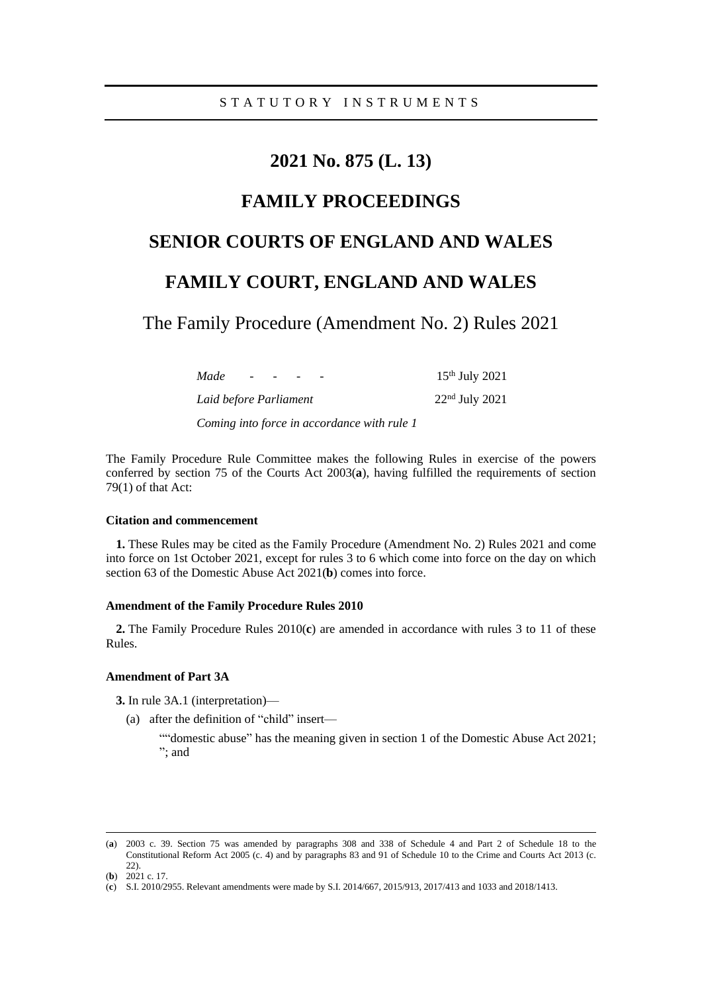# **2021 No. 875 (L. 13)**

## **FAMILY PROCEEDINGS**

## **SENIOR COURTS OF ENGLAND AND WALES**

## **FAMILY COURT, ENGLAND AND WALES**

The Family Procedure (Amendment No. 2) Rules 2021

| Made<br>$\overline{\phantom{0}}$ | $\sim$ $\sim$ |  | $15th$ July 2021 |
|----------------------------------|---------------|--|------------------|
| Laid before Parliament           |               |  | $22nd$ July 2021 |
|                                  |               |  |                  |

*Coming into force in accordance with rule 1*

The Family Procedure Rule Committee makes the following Rules in exercise of the powers conferred by section 75 of the Courts Act 2003(**a**), having fulfilled the requirements of section 79(1) of that Act:

## **Citation and commencement**

**1.** These Rules may be cited as the Family Procedure (Amendment No. 2) Rules 2021 and come into force on 1st October 2021, except for rules 3 to 6 which come into force on the day on which section 63 of the Domestic Abuse Act 2021(**b**) comes into force.

### **Amendment of the Family Procedure Rules 2010**

**2.** The Family Procedure Rules 2010(**c**) are amended in accordance with rules 3 to 11 of these Rules.

## **Amendment of Part 3A**

**3.** In rule 3A.1 (interpretation)—

- (a) after the definition of "child" insert—
	- ""domestic abuse" has the meaning given in section 1 of the Domestic Abuse Act 2021; "; and

<sup>(</sup>**a**) 2003 c. 39. Section 75 was amended by paragraphs 308 and 338 of Schedule 4 and Part 2 of Schedule 18 to the Constitutional Reform Act 2005 (c. 4) and by paragraphs 83 and 91 of Schedule 10 to the Crime and Courts Act 2013 (c. 22).

<sup>(</sup>**b**) 2021 c. 17.

<sup>(</sup>**c**) S.I. 2010/2955. Relevant amendments were made by S.I. 2014/667, 2015/913, 2017/413 and 1033 and 2018/1413.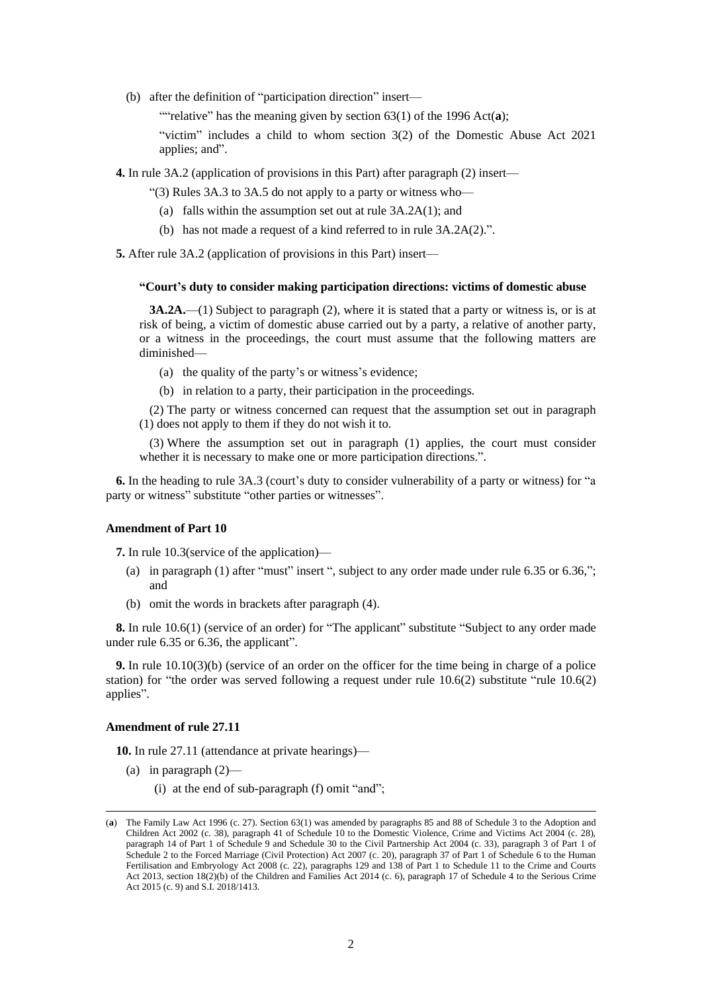(b) after the definition of "participation direction" insert—

""relative" has the meaning given by section 63(1) of the 1996 Act(a);

"victim" includes a child to whom section 3(2) of the Domestic Abuse Act 2021 applies; and".

**4.** In rule 3A.2 (application of provisions in this Part) after paragraph (2) insert—

"(3) Rules 3A.3 to 3A.5 do not apply to a party or witness who—

- (a) falls within the assumption set out at rule 3A.2A(1); and
- (b) has not made a request of a kind referred to in rule 3A.2A(2).".

**5.** After rule 3A.2 (application of provisions in this Part) insert—

#### **"Court's duty to consider making participation directions: victims of domestic abuse**

**3A.2A.**—(1) Subject to paragraph (2), where it is stated that a party or witness is, or is at risk of being, a victim of domestic abuse carried out by a party, a relative of another party, or a witness in the proceedings, the court must assume that the following matters are diminished—

(a) the quality of the party's or witness's evidence;

(b) in relation to a party, their participation in the proceedings.

(2) The party or witness concerned can request that the assumption set out in paragraph (1) does not apply to them if they do not wish it to.

(3) Where the assumption set out in paragraph (1) applies, the court must consider whether it is necessary to make one or more participation directions.".

**6.** In the heading to rule 3A.3 (court's duty to consider vulnerability of a party or witness) for "a party or witness" substitute "other parties or witnesses".

### **Amendment of Part 10**

**7.** In rule 10.3(service of the application)—

- (a) in paragraph (1) after "must" insert ", subject to any order made under rule 6.35 or 6.36,"; and
- (b) omit the words in brackets after paragraph (4).

**8.** In rule 10.6(1) (service of an order) for "The applicant" substitute "Subject to any order made under rule 6.35 or 6.36, the applicant".

**9.** In rule 10.10(3)(b) (service of an order on the officer for the time being in charge of a police station) for "the order was served following a request under rule 10.6(2) substitute "rule 10.6(2) applies".

### **Amendment of rule 27.11**

**10.** In rule 27.11 (attendance at private hearings)—

- (a) in paragraph  $(2)$ 
	- (i) at the end of sub-paragraph (f) omit "and";

<sup>(</sup>**a**) The Family Law Act 1996 (c. 27). Section 63(1) was amended by paragraphs 85 and 88 of Schedule 3 to the Adoption and Children Act 2002 (c. 38), paragraph 41 of Schedule 10 to the Domestic Violence, Crime and Victims Act 2004 (c. 28), paragraph 14 of Part 1 of Schedule 9 and Schedule 30 to the Civil Partnership Act 2004 (c. 33), paragraph 3 of Part 1 of Schedule 2 to the Forced Marriage (Civil Protection) Act 2007 (c. 20), paragraph 37 of Part 1 of Schedule 6 to the Human Fertilisation and Embryology Act 2008 (c. 22), paragraphs 129 and 138 of Part 1 to Schedule 11 to the Crime and Courts Act 2013, section 18(2)(b) of the Children and Families Act 2014 (c. 6), paragraph 17 of Schedule 4 to the Serious Crime Act 2015 (c. 9) and S.I. 2018/1413.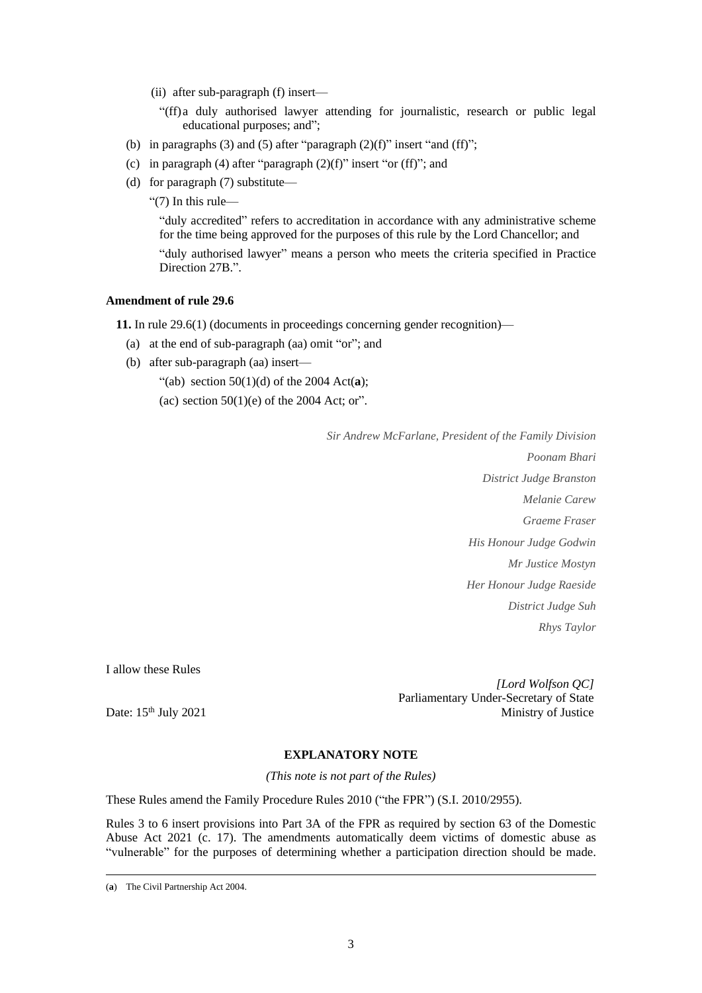- (ii) after sub-paragraph (f) insert—
	- "(ff)a duly authorised lawyer attending for journalistic, research or public legal educational purposes; and";
- (b) in paragraphs (3) and (5) after "paragraph  $(2)(f)$ " insert "and (ff)";
- (c) in paragraph (4) after "paragraph  $(2)(f)$ " insert "or (ff)"; and
- (d) for paragraph (7) substitute—
	- "(7) In this rule—

"duly accredited" refers to accreditation in accordance with any administrative scheme for the time being approved for the purposes of this rule by the Lord Chancellor; and "duly authorised lawyer" means a person who meets the criteria specified in Practice Direction 27B.".

## **Amendment of rule 29.6**

**11.** In rule 29.6(1) (documents in proceedings concerning gender recognition)—

- (a) at the end of sub-paragraph (aa) omit "or"; and
- (b) after sub-paragraph (aa) insert—

"(ab) section 50(1)(d) of the 2004 Act(**a**);

(ac) section  $50(1)(e)$  of the 2004 Act; or".

*Sir Andrew McFarlane, President of the Family Division*

*Poonam Bhari District Judge Branston Melanie Carew Graeme Fraser His Honour Judge Godwin Mr Justice Mostyn Her Honour Judge Raeside District Judge Suh Rhys Taylor*

I allow these Rules

*[Lord Wolfson QC]* Parliamentary Under-Secretary of State Ministry of Justice

Date: 15<sup>th</sup> July 2021

## **EXPLANATORY NOTE**

*(This note is not part of the Rules)*

These Rules amend the Family Procedure Rules 2010 ("the FPR") (S.I. 2010/2955).

Rules 3 to 6 insert provisions into Part 3A of the FPR as required by section 63 of the Domestic Abuse Act 2021 (c. 17). The amendments automatically deem victims of domestic abuse as "vulnerable" for the purposes of determining whether a participation direction should be made.

<sup>(</sup>**a**) The Civil Partnership Act 2004.